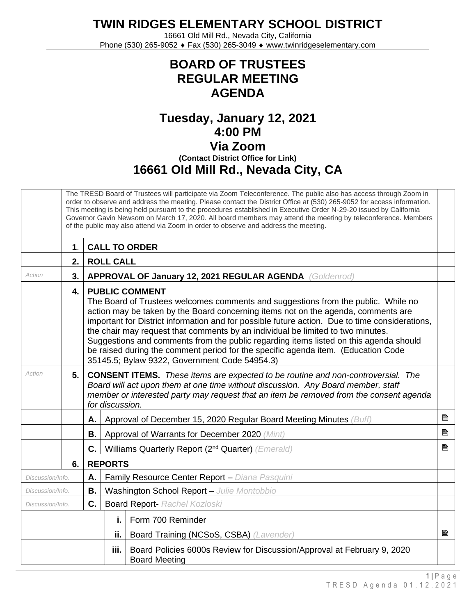**TWIN RIDGES ELEMENTARY SCHOOL DISTRICT**

16661 Old Mill Rd., Nevada City, California Phone (530) 265-9052 ♦ Fax (530) 265-3049 ♦ www.twinridgeselementary.com

## **BOARD OF TRUSTEES REGULAR MEETING AGENDA**

## **Tuesday, January 12, 2021 4:00 PM Via Zoom (Contact District Office for Link) 16661 Old Mill Rd., Nevada City, CA**

|                        | The TRESD Board of Trustees will participate via Zoom Teleconference. The public also has access through Zoom in<br>order to observe and address the meeting. Please contact the District Office at (530) 265-9052 for access information.<br>This meeting is being held pursuant to the procedures established in Executive Order N-29-20 issued by California<br>Governor Gavin Newsom on March 17, 2020. All board members may attend the meeting by teleconference. Members<br>of the public may also attend via Zoom in order to observe and address the meeting. |                                                                                                                                                                                                                                                                                                                                                                                                                                                                                                                                                                                                                     |                                                                                                                                                                                                                                                                                          |                                                                                                 |   |  |  |  |
|------------------------|------------------------------------------------------------------------------------------------------------------------------------------------------------------------------------------------------------------------------------------------------------------------------------------------------------------------------------------------------------------------------------------------------------------------------------------------------------------------------------------------------------------------------------------------------------------------|---------------------------------------------------------------------------------------------------------------------------------------------------------------------------------------------------------------------------------------------------------------------------------------------------------------------------------------------------------------------------------------------------------------------------------------------------------------------------------------------------------------------------------------------------------------------------------------------------------------------|------------------------------------------------------------------------------------------------------------------------------------------------------------------------------------------------------------------------------------------------------------------------------------------|-------------------------------------------------------------------------------------------------|---|--|--|--|
|                        | $\mathbf 1$ .                                                                                                                                                                                                                                                                                                                                                                                                                                                                                                                                                          | <b>CALL TO ORDER</b>                                                                                                                                                                                                                                                                                                                                                                                                                                                                                                                                                                                                |                                                                                                                                                                                                                                                                                          |                                                                                                 |   |  |  |  |
|                        | <b>ROLL CALL</b><br>2.                                                                                                                                                                                                                                                                                                                                                                                                                                                                                                                                                 |                                                                                                                                                                                                                                                                                                                                                                                                                                                                                                                                                                                                                     |                                                                                                                                                                                                                                                                                          |                                                                                                 |   |  |  |  |
| Action                 | 3.                                                                                                                                                                                                                                                                                                                                                                                                                                                                                                                                                                     |                                                                                                                                                                                                                                                                                                                                                                                                                                                                                                                                                                                                                     | APPROVAL OF January 12, 2021 REGULAR AGENDA (Goldenrod)                                                                                                                                                                                                                                  |                                                                                                 |   |  |  |  |
|                        | 4.                                                                                                                                                                                                                                                                                                                                                                                                                                                                                                                                                                     | <b>PUBLIC COMMENT</b><br>The Board of Trustees welcomes comments and suggestions from the public. While no<br>action may be taken by the Board concerning items not on the agenda, comments are<br>important for District information and for possible future action. Due to time considerations,<br>the chair may request that comments by an individual be limited to two minutes.<br>Suggestions and comments from the public regarding items listed on this agenda should<br>be raised during the comment period for the specific agenda item. (Education Code<br>35145.5; Bylaw 9322, Government Code 54954.3) |                                                                                                                                                                                                                                                                                          |                                                                                                 |   |  |  |  |
| Action                 | 5.                                                                                                                                                                                                                                                                                                                                                                                                                                                                                                                                                                     |                                                                                                                                                                                                                                                                                                                                                                                                                                                                                                                                                                                                                     | <b>CONSENT ITEMS.</b> These items are expected to be routine and non-controversial. The<br>Board will act upon them at one time without discussion. Any Board member, staff<br>member or interested party may request that an item be removed from the consent agenda<br>for discussion. |                                                                                                 |   |  |  |  |
|                        |                                                                                                                                                                                                                                                                                                                                                                                                                                                                                                                                                                        | А.                                                                                                                                                                                                                                                                                                                                                                                                                                                                                                                                                                                                                  |                                                                                                                                                                                                                                                                                          | Approval of December 15, 2020 Regular Board Meeting Minutes (Buff)                              | P |  |  |  |
|                        |                                                                                                                                                                                                                                                                                                                                                                                                                                                                                                                                                                        | В.                                                                                                                                                                                                                                                                                                                                                                                                                                                                                                                                                                                                                  |                                                                                                                                                                                                                                                                                          | Approval of Warrants for December 2020 (Mint)                                                   | B |  |  |  |
|                        |                                                                                                                                                                                                                                                                                                                                                                                                                                                                                                                                                                        | C.                                                                                                                                                                                                                                                                                                                                                                                                                                                                                                                                                                                                                  |                                                                                                                                                                                                                                                                                          | Williams Quarterly Report (2 <sup>nd</sup> Quarter) (Emerald)                                   | ₿ |  |  |  |
|                        | 6.                                                                                                                                                                                                                                                                                                                                                                                                                                                                                                                                                                     | <b>REPORTS</b>                                                                                                                                                                                                                                                                                                                                                                                                                                                                                                                                                                                                      |                                                                                                                                                                                                                                                                                          |                                                                                                 |   |  |  |  |
| Α.<br>Discussion/Info. |                                                                                                                                                                                                                                                                                                                                                                                                                                                                                                                                                                        |                                                                                                                                                                                                                                                                                                                                                                                                                                                                                                                                                                                                                     |                                                                                                                                                                                                                                                                                          | Family Resource Center Report - Diana Pasquini                                                  |   |  |  |  |
| В.<br>Discussion/Info. |                                                                                                                                                                                                                                                                                                                                                                                                                                                                                                                                                                        |                                                                                                                                                                                                                                                                                                                                                                                                                                                                                                                                                                                                                     |                                                                                                                                                                                                                                                                                          | Washington School Report - Julie Montobbio                                                      |   |  |  |  |
| C.<br>Discussion/Info. |                                                                                                                                                                                                                                                                                                                                                                                                                                                                                                                                                                        |                                                                                                                                                                                                                                                                                                                                                                                                                                                                                                                                                                                                                     |                                                                                                                                                                                                                                                                                          | <b>Board Report- Rachel Kozloski</b>                                                            |   |  |  |  |
|                        |                                                                                                                                                                                                                                                                                                                                                                                                                                                                                                                                                                        |                                                                                                                                                                                                                                                                                                                                                                                                                                                                                                                                                                                                                     | i.                                                                                                                                                                                                                                                                                       | Form 700 Reminder                                                                               |   |  |  |  |
|                        |                                                                                                                                                                                                                                                                                                                                                                                                                                                                                                                                                                        |                                                                                                                                                                                                                                                                                                                                                                                                                                                                                                                                                                                                                     | ii.                                                                                                                                                                                                                                                                                      | Board Training (NCSoS, CSBA) (Lavender)                                                         | B |  |  |  |
| iii.                   |                                                                                                                                                                                                                                                                                                                                                                                                                                                                                                                                                                        |                                                                                                                                                                                                                                                                                                                                                                                                                                                                                                                                                                                                                     |                                                                                                                                                                                                                                                                                          | Board Policies 6000s Review for Discussion/Approval at February 9, 2020<br><b>Board Meeting</b> |   |  |  |  |